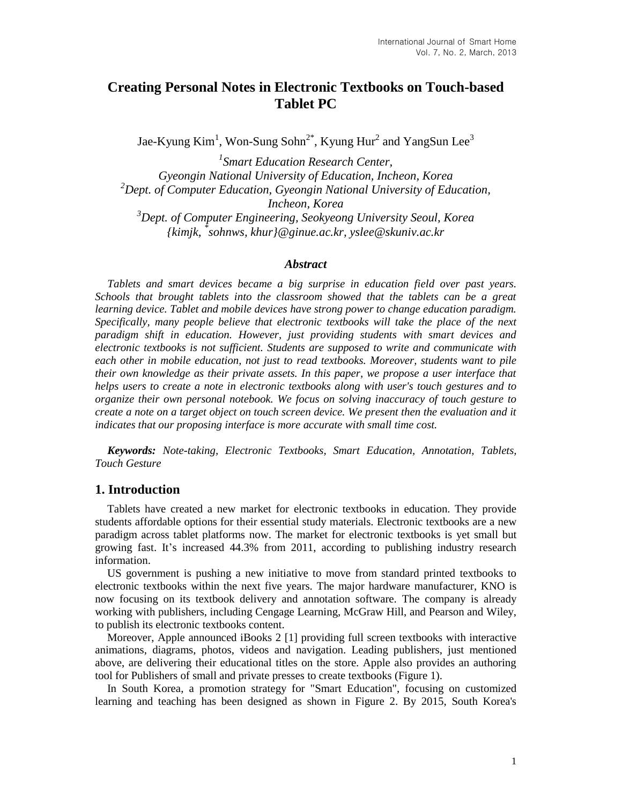# **Creating Personal Notes in Electronic Textbooks on Touch-based Tablet PC**

Jae-Kyung Kim $^1$ , Won-Sung Sohn $^{2^\ast}$ , Kyung Hur $^2$  and YangSun Lee $^3$ 

*1 Smart Education Research Center, Gyeongin National University of Education, Incheon, Korea <sup>2</sup>Dept. of Computer Education, Gyeongin National University of Education, Incheon, Korea <sup>3</sup>Dept. of Computer Engineering, Seokyeong University Seoul, Korea {kimjk, \* sohnws, khur}@ginue.ac.kr, yslee@skuniv.ac.kr*

### *Abstract*

*Tablets and smart devices became a big surprise in education field over past years. Schools that brought tablets into the classroom showed that the tablets can be a great learning device. Tablet and mobile devices have strong power to change education paradigm. Specifically, many people believe that electronic textbooks will take the place of the next paradigm shift in education. However, just providing students with smart devices and electronic textbooks is not sufficient. Students are supposed to write and communicate with each other in mobile education, not just to read textbooks. Moreover, students want to pile their own knowledge as their private assets. In this paper, we propose a user interface that helps users to create a note in electronic textbooks along with user's touch gestures and to organize their own personal notebook. We focus on solving inaccuracy of touch gesture to create a note on a target object on touch screen device. We present then the evaluation and it indicates that our proposing interface is more accurate with small time cost.*

*Keywords: Note-taking, Electronic Textbooks, Smart Education, Annotation, Tablets, Touch Gesture*

## **1. Introduction**

Tablets have created a new market for electronic textbooks in education. They provide students affordable options for their essential study materials. Electronic textbooks are a new paradigm across tablet platforms now. The market for electronic textbooks is yet small but growing fast. It's increased 44.3% from 2011, according to publishing industry research information.

US government is pushing a new initiative to move from standard printed textbooks to electronic textbooks within the next five years. The major hardware manufacturer, KNO is now focusing on its textbook delivery and annotation software. The company is already working with publishers, including Cengage Learning, McGraw Hill, and Pearson and Wiley, to publish its electronic textbooks content.

Moreover, Apple announced iBooks 2 [1] providing full screen textbooks with interactive animations, diagrams, photos, videos and navigation. Leading publishers, just mentioned above, are delivering their educational titles on the store. Apple also provides an authoring tool for Publishers of small and private presses to create textbooks (Figure 1).

In South Korea, a promotion strategy for "Smart Education", focusing on customized learning and teaching has been designed as shown in Figure 2. By 2015, South Korea's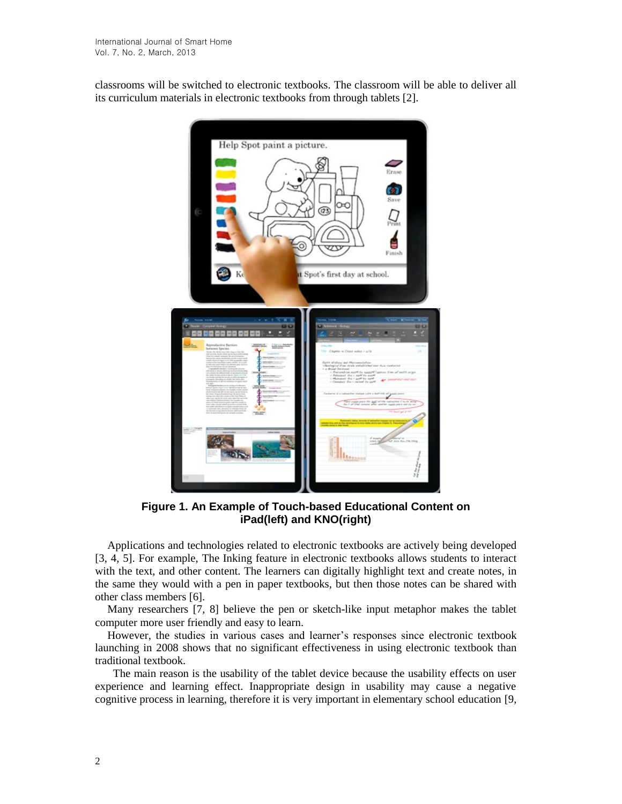classrooms will be switched to electronic textbooks. The classroom will be able to deliver all its curriculum materials in electronic textbooks from through tablets [2].



**Figure 1. An Example of Touch-based Educational Content on iPad(left) and KNO(right)**

Applications and technologies related to electronic textbooks are actively being developed [3, 4, 5]. For example, The Inking feature in electronic textbooks allows students to interact with the text, and other content. The learners can digitally highlight text and create notes, in the same they would with a pen in paper textbooks, but then those notes can be shared with other class members [6].

Many researchers [7, 8] believe the pen or sketch-like input metaphor makes the tablet computer more user friendly and easy to learn.

However, the studies in various cases and learner's responses since electronic textbook launching in 2008 shows that no significant effectiveness in using electronic textbook than traditional textbook.

 The main reason is the usability of the tablet device because the usability effects on user experience and learning effect. Inappropriate design in usability may cause a negative cognitive process in learning, therefore it is very important in elementary school education [9,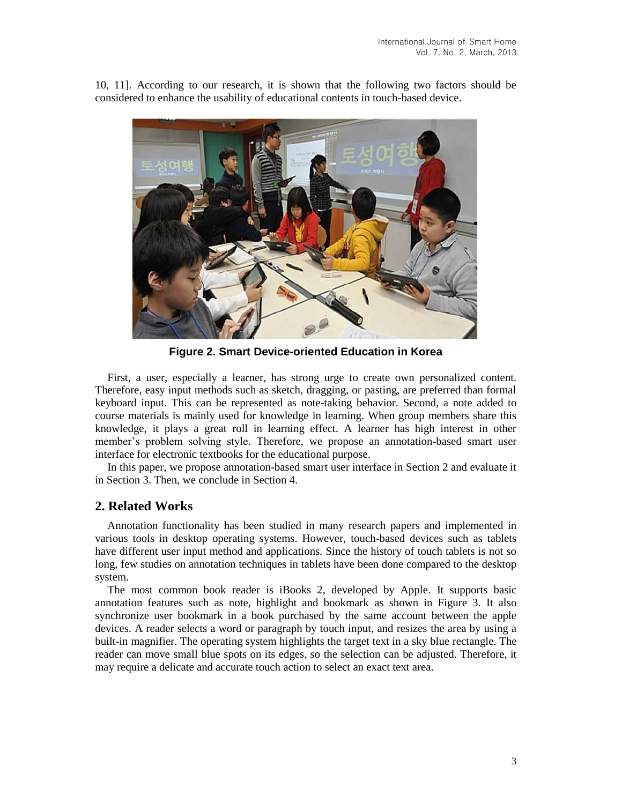10, 11]. According to our research, it is shown that the following two factors should be considered to enhance the usability of educational contents in touch-based device.



**Figure 2. Smart Device-oriented Education in Korea**

First, a user, especially a learner, has strong urge to create own personalized content. Therefore, easy input methods such as sketch, dragging, or pasting, are preferred than formal keyboard input. This can be represented as note-taking behavior. Second, a note added to course materials is mainly used for knowledge in learning. When group members share this knowledge, it plays a great roll in learning effect. A learner has high interest in other member's problem solving style. Therefore, we propose an annotation-based smart user interface for electronic textbooks for the educational purpose.

In this paper, we propose annotation-based smart user interface in Section 2 and evaluate it in Section 3. Then, we conclude in Section 4.

## **2. Related Works**

Annotation functionality has been studied in many research papers and implemented in various tools in desktop operating systems. However, touch-based devices such as tablets have different user input method and applications. Since the history of touch tablets is not so long, few studies on annotation techniques in tablets have been done compared to the desktop system.

The most common book reader is iBooks 2, developed by Apple. It supports basic annotation features such as note, highlight and bookmark as shown in Figure 3. It also synchronize user bookmark in a book purchased by the same account between the apple devices. A reader selects a word or paragraph by touch input, and resizes the area by using a built-in magnifier. The operating system highlights the target text in a sky blue rectangle. The reader can move small blue spots on its edges, so the selection can be adjusted. Therefore, it may require a delicate and accurate touch action to select an exact text area.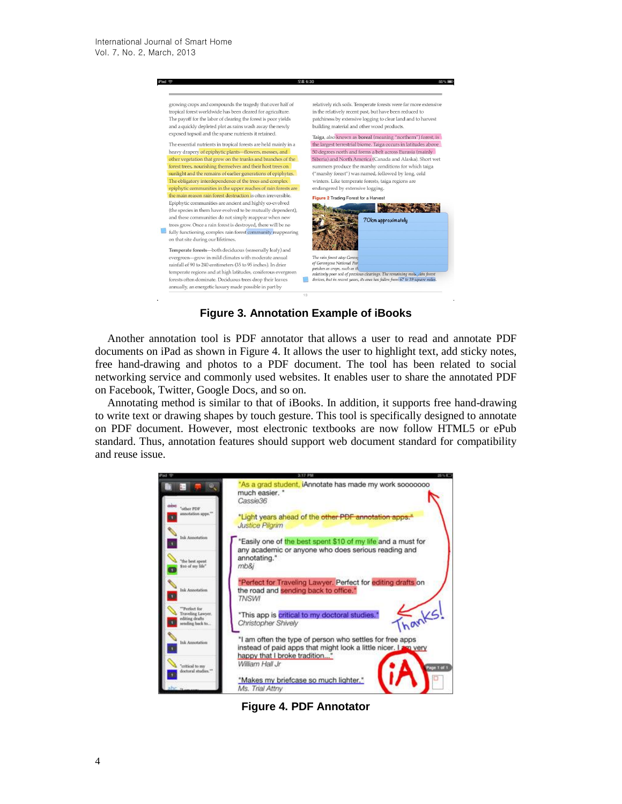

## **Figure 3. Annotation Example of iBooks**

Another annotation tool is PDF annotator that allows a user to read and annotate PDF documents on iPad as shown in Figure 4. It allows the user to highlight text, add sticky notes, free hand-drawing and photos to a PDF document. The tool has been related to social networking service and commonly used websites. It enables user to share the annotated PDF on Facebook, Twitter, Google Docs, and so on.

Annotating method is similar to that of iBooks. In addition, it supports free hand-drawing to write text or drawing shapes by touch gesture. This tool is specifically designed to annotate on PDF document. However, most electronic textbooks are now follow HTML5 or ePub standard. Thus, annotation features should support web document standard for compatibility and reuse issue.



**Figure 4. PDF Annotator**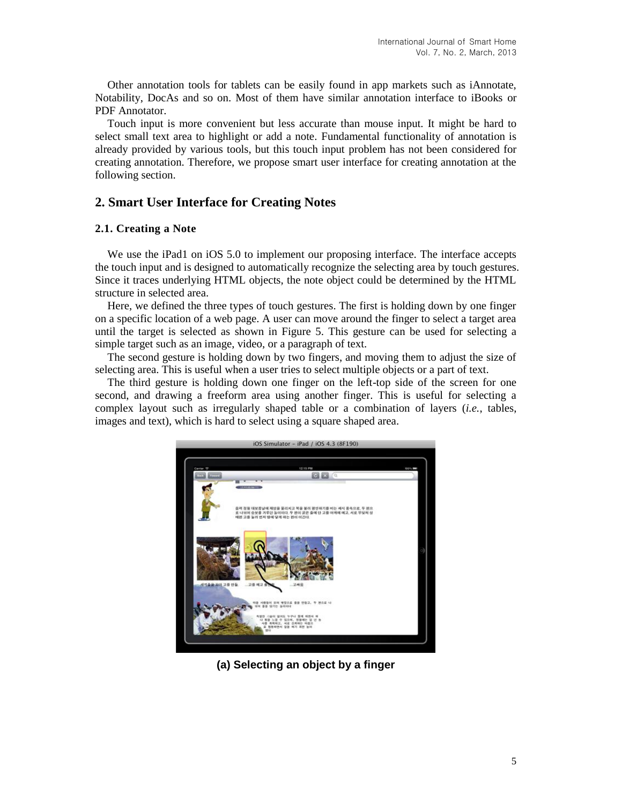Other annotation tools for tablets can be easily found in app markets such as iAnnotate, Notability, DocAs and so on. Most of them have similar annotation interface to iBooks or PDF Annotator.

Touch input is more convenient but less accurate than mouse input. It might be hard to select small text area to highlight or add a note. Fundamental functionality of annotation is already provided by various tools, but this touch input problem has not been considered for creating annotation. Therefore, we propose smart user interface for creating annotation at the following section.

## **2. Smart User Interface for Creating Notes**

### **2.1. Creating a Note**

We use the iPad1 on iOS 5.0 to implement our proposing interface. The interface accepts the touch input and is designed to automatically recognize the selecting area by touch gestures. Since it traces underlying HTML objects, the note object could be determined by the HTML structure in selected area.

Here, we defined the three types of touch gestures. The first is holding down by one finger on a specific location of a web page. A user can move around the finger to select a target area until the target is selected as shown in Figure 5. This gesture can be used for selecting a simple target such as an image, video, or a paragraph of text.

The second gesture is holding down by two fingers, and moving them to adjust the size of selecting area. This is useful when a user tries to select multiple objects or a part of text.

The third gesture is holding down one finger on the left-top side of the screen for one second, and drawing a freeform area using another finger. This is useful for selecting a complex layout such as irregularly shaped table or a combination of layers (*i.e.*, tables, images and text), which is hard to select using a square shaped area.



**(a) Selecting an object by a finger**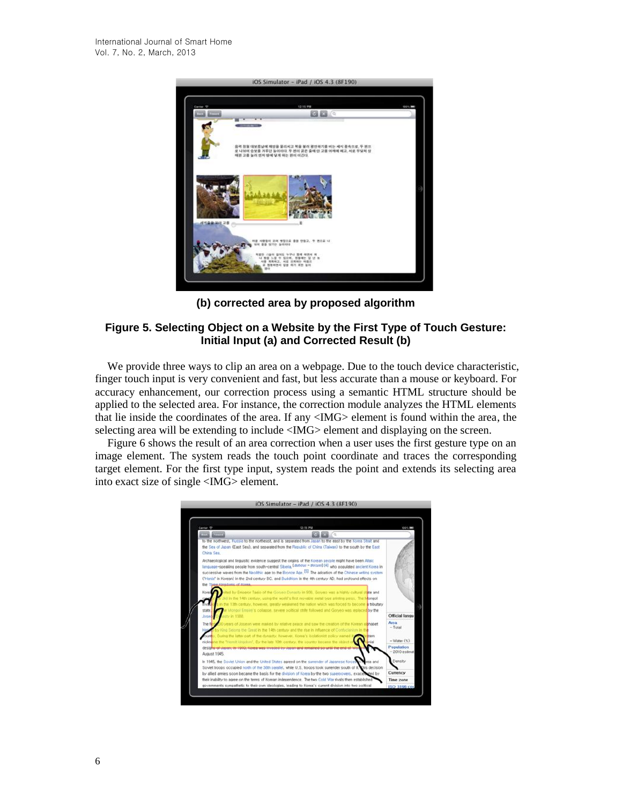

**(b) corrected area by proposed algorithm**

## **Figure 5. Selecting Object on a Website by the First Type of Touch Gesture: Initial Input (a) and Corrected Result (b)**

We provide three ways to clip an area on a webpage. Due to the touch device characteristic, finger touch input is very convenient and fast, but less accurate than a mouse or keyboard. For accuracy enhancement, our correction process using a semantic HTML structure should be applied to the selected area. For instance, the correction module analyzes the HTML elements that lie inside the coordinates of the area. If any <IMG> element is found within the area, the selecting area will be extending to include <IMG> element and displaying on the screen.

Figure 6 shows the result of an area correction when a user uses the first gesture type on an image element. The system reads the touch point coordinate and traces the corresponding target element. For the first type input, system reads the point and extends its selecting area into exact size of single <IMG> element.

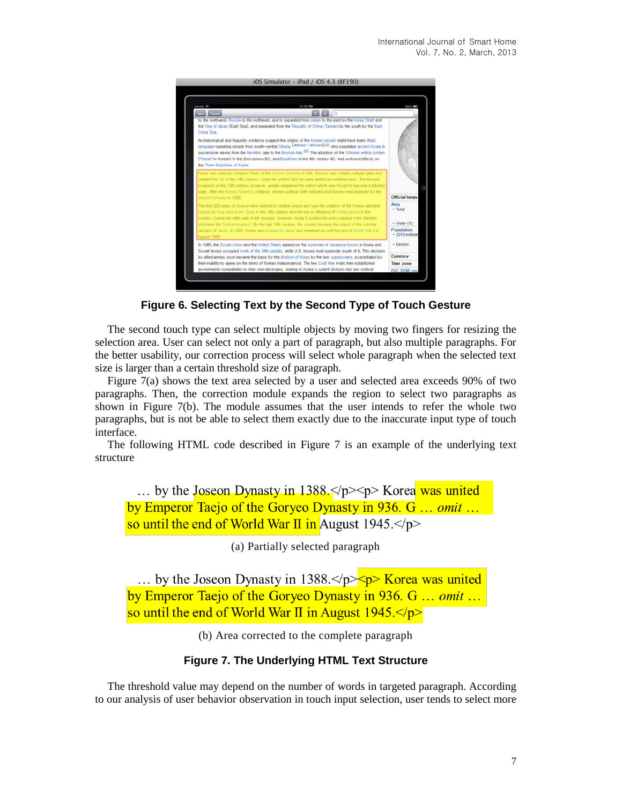

**Figure 6. Selecting Text by the Second Type of Touch Gesture**

The second touch type can select multiple objects by moving two fingers for resizing the selection area. User can select not only a part of paragraph, but also multiple paragraphs. For the better usability, our correction process will select whole paragraph when the selected text size is larger than a certain threshold size of paragraph.

Figure 7(a) shows the text area selected by a user and selected area exceeds 90% of two paragraphs. Then, the correction module expands the region to select two paragraphs as shown in Figure 7(b). The module assumes that the user intends to refer the whole two paragraphs, but is not be able to select them exactly due to the inaccurate input type of touch interface.

The following HTML code described in Figure 7 is an example of the underlying text structure

... by the Joseon Dynasty in  $1388 \le p \le p$  Korea was united by Emperor Taejo of the Goryeo Dynasty in 936. G ... omit ... so until the end of World War II in August  $1945 < p >$ 

(a) Partially selected paragraph

... by the Joseon Dynasty in 1388. $\langle p \rangle$   $\leq p$  Korea was united by Emperor Taejo of the Goryeo Dynasty in 936. G ... omit ... so until the end of World War II in August  $1945.$ 

(b) Area corrected to the complete paragraph

## **Figure 7. The Underlying HTML Text Structure**

The threshold value may depend on the number of words in targeted paragraph. According to our analysis of user behavior observation in touch input selection, user tends to select more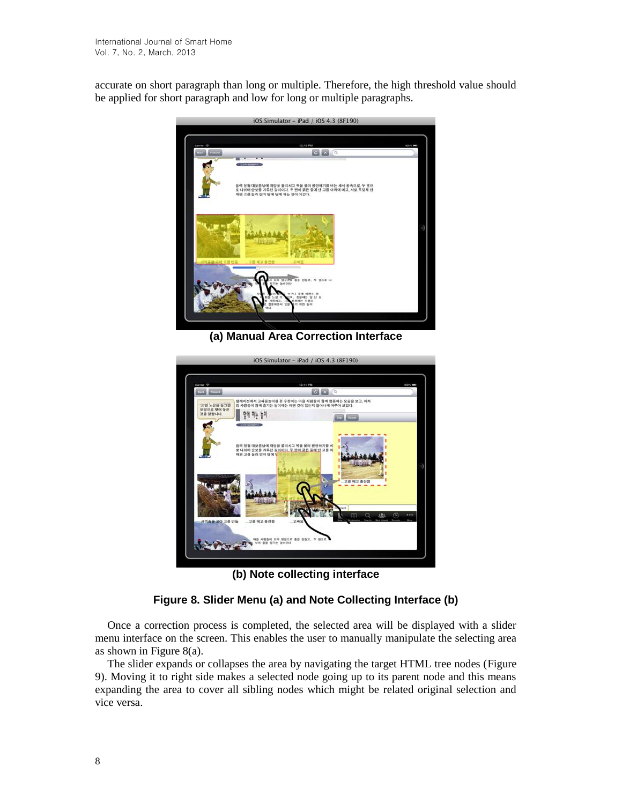accurate on short paragraph than long or multiple. Therefore, the high threshold value should be applied for short paragraph and low for long or multiple paragraphs.



**(a) Manual Area Correction Interface**



**(b) Note collecting interface**

## **Figure 8. Slider Menu (a) and Note Collecting Interface (b)**

Once a correction process is completed, the selected area will be displayed with a slider menu interface on the screen. This enables the user to manually manipulate the selecting area as shown in Figure 8(a).

The slider expands or collapses the area by navigating the target HTML tree nodes (Figure 9). Moving it to right side makes a selected node going up to its parent node and this means expanding the area to cover all sibling nodes which might be related original selection and vice versa.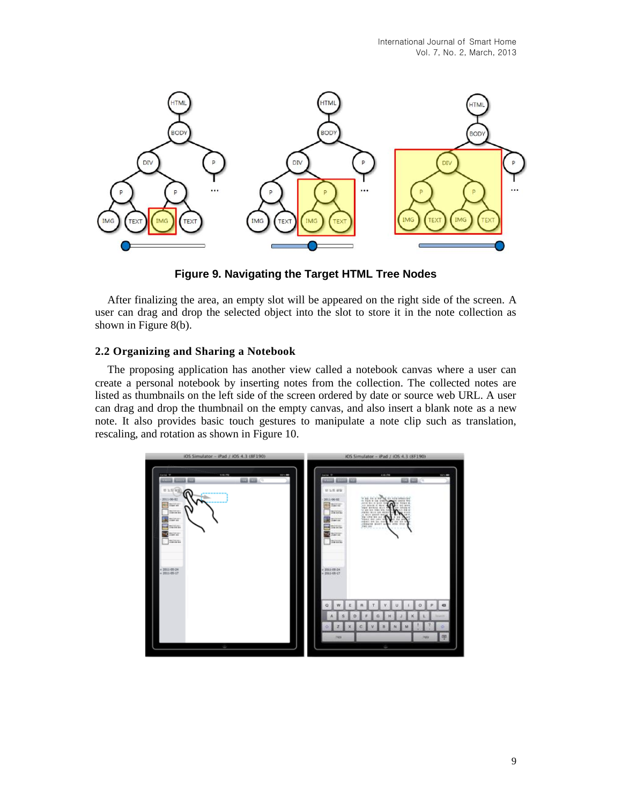

**Figure 9. Navigating the Target HTML Tree Nodes**

After finalizing the area, an empty slot will be appeared on the right side of the screen. A user can drag and drop the selected object into the slot to store it in the note collection as shown in Figure 8(b).

## **2.2 Organizing and Sharing a Notebook**

The proposing application has another view called a notebook canvas where a user can create a personal notebook by inserting notes from the collection. The collected notes are listed as thumbnails on the left side of the screen ordered by date or source web URL. A user can drag and drop the thumbnail on the empty canvas, and also insert a blank note as a new note. It also provides basic touch gestures to manipulate a note clip such as translation, rescaling, and rotation as shown in Figure 10.

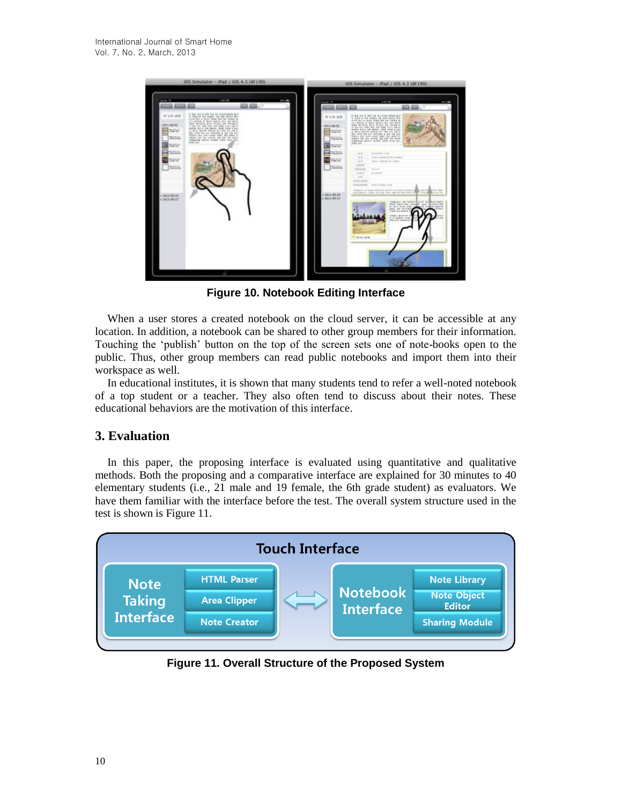

**Figure 10. Notebook Editing Interface**

When a user stores a created notebook on the cloud server, it can be accessible at any location. In addition, a notebook can be shared to other group members for their information. Touching the 'publish' button on the top of the screen sets one of note-books open to the public. Thus, other group members can read public notebooks and import them into their workspace as well.

In educational institutes, it is shown that many students tend to refer a well-noted notebook of a top student or a teacher. They also often tend to discuss about their notes. These educational behaviors are the motivation of this interface.

## **3. Evaluation**

In this paper, the proposing interface is evaluated using quantitative and qualitative methods. Both the proposing and a comparative interface are explained for 30 minutes to 40 elementary students (i.e., 21 male and 19 female, the 6th grade student) as evaluators. We have them familiar with the interface before the test. The overall system structure used in the test is shown is Figure 11.



**Figure 11. Overall Structure of the Proposed System**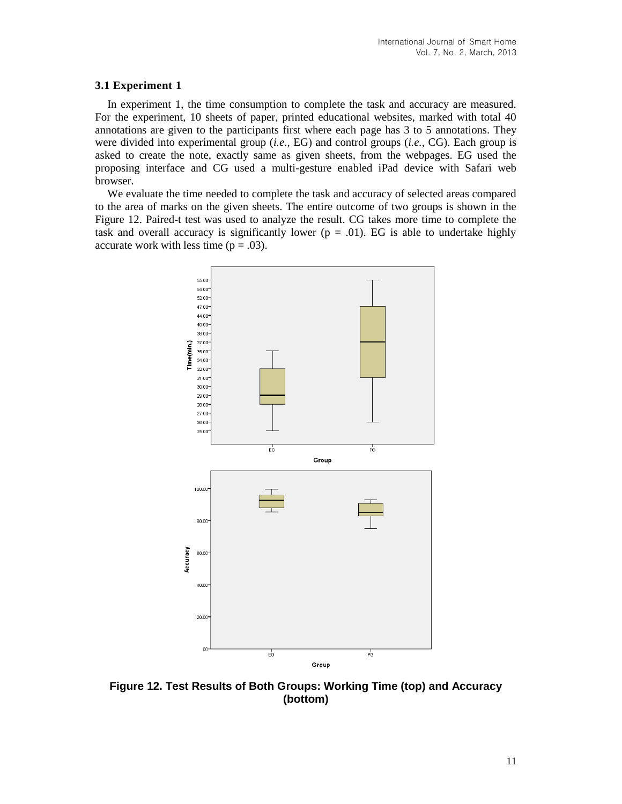#### **3.1 Experiment 1**

In experiment 1, the time consumption to complete the task and accuracy are measured. For the experiment, 10 sheets of paper, printed educational websites, marked with total 40 annotations are given to the participants first where each page has 3 to 5 annotations. They were divided into experimental group (*i.e.*, EG) and control groups (*i.e.*, CG). Each group is asked to create the note, exactly same as given sheets, from the webpages. EG used the proposing interface and CG used a multi-gesture enabled iPad device with Safari web browser.

We evaluate the time needed to complete the task and accuracy of selected areas compared to the area of marks on the given sheets. The entire outcome of two groups is shown in the Figure 12. Paired-t test was used to analyze the result. CG takes more time to complete the task and overall accuracy is significantly lower ( $p = .01$ ). EG is able to undertake highly accurate work with less time  $(p = .03)$ .



**Figure 12. Test Results of Both Groups: Working Time (top) and Accuracy (bottom)**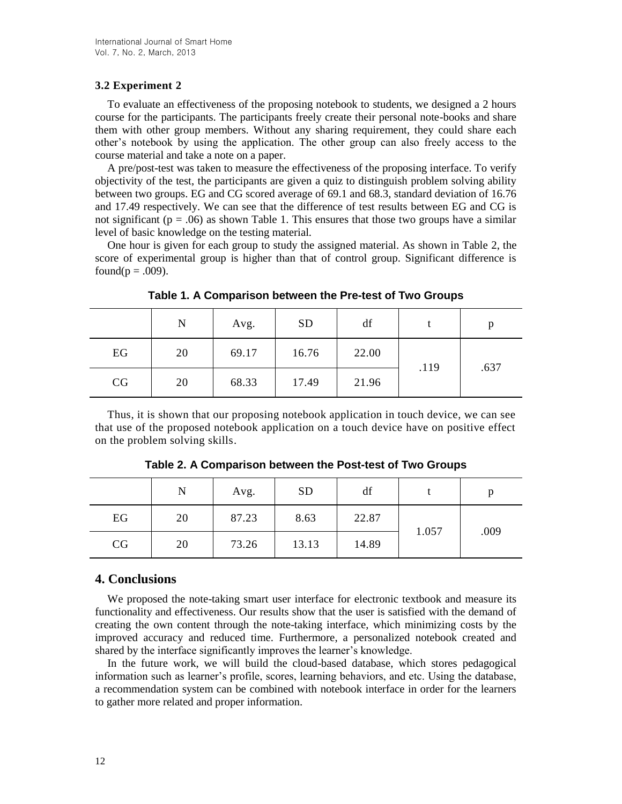## **3.2 Experiment 2**

To evaluate an effectiveness of the proposing notebook to students, we designed a 2 hours course for the participants. The participants freely create their personal note-books and share them with other group members. Without any sharing requirement, they could share each other's notebook by using the application. The other group can also freely access to the course material and take a note on a paper.

A pre/post-test was taken to measure the effectiveness of the proposing interface. To verify objectivity of the test, the participants are given a quiz to distinguish problem solving ability between two groups. EG and CG scored average of 69.1 and 68.3, standard deviation of 16.76 and 17.49 respectively. We can see that the difference of test results between EG and CG is not significant ( $p = .06$ ) as shown Table 1. This ensures that those two groups have a similar level of basic knowledge on the testing material.

One hour is given for each group to study the assigned material. As shown in Table 2, the score of experimental group is higher than that of control group. Significant difference is found( $p = .009$ ).

|    | $\mathbf N$ | Avg.  | <b>SD</b> | df    |      | p    |
|----|-------------|-------|-----------|-------|------|------|
| EG | 20          | 69.17 | 16.76     | 22.00 | .119 | .637 |
| CG | 20          | 68.33 | 17.49     | 21.96 |      |      |

**Table 1. A Comparison between the Pre-test of Two Groups**

Thus, it is shown that our proposing notebook application in touch device, we can see that use of the proposed notebook application on a touch device have on positive effect on the problem solving skills.

|    | N  | Avg.  | <b>SD</b> | df    |       |      |
|----|----|-------|-----------|-------|-------|------|
| EG | 20 | 87.23 | 8.63      | 22.87 | 1.057 | .009 |
| CG | 20 | 73.26 | 13.13     | 14.89 |       |      |

**Table 2. A Comparison between the Post-test of Two Groups**

## **4. Conclusions**

We proposed the note-taking smart user interface for electronic textbook and measure its functionality and effectiveness. Our results show that the user is satisfied with the demand of creating the own content through the note-taking interface, which minimizing costs by the improved accuracy and reduced time. Furthermore, a personalized notebook created and shared by the interface significantly improves the learner's knowledge.

In the future work, we will build the cloud-based database, which stores pedagogical information such as learner's profile, scores, learning behaviors, and etc. Using the database, a recommendation system can be combined with notebook interface in order for the learners to gather more related and proper information.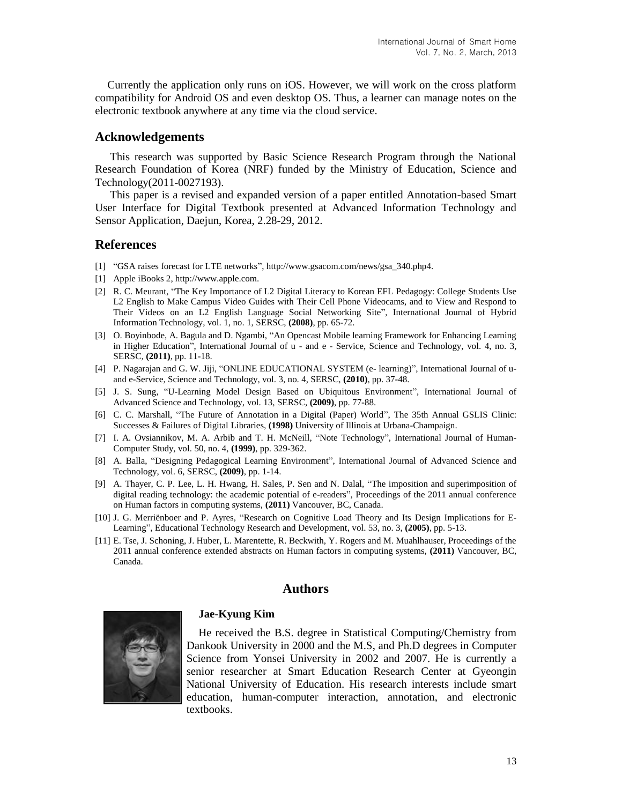Currently the application only runs on iOS. However, we will work on the cross platform compatibility for Android OS and even desktop OS. Thus, a learner can manage notes on the electronic textbook anywhere at any time via the cloud service.

### **Acknowledgements**

This research was supported by Basic Science Research Program through the National Research Foundation of Korea (NRF) funded by the Ministry of Education, Science and Technology(2011-0027193).

This paper is a revised and expanded version of a paper entitled Annotation-based Smart User Interface for Digital Textbook presented at Advanced Information Technology and Sensor Application, Daejun, Korea, 2.28-29, 2012.

## **References**

- [1] "GSA raises forecast for LTE networks"[, http://www.gsacom.com/news/gsa\\_340.php4.](http://www.gsacom.com/news/gsa_340.php4)
- [1] Apple iBooks 2, http://www.apple.com.
- [2] R. C. Meurant, "The Key Importance of L2 Digital Literacy to Korean EFL Pedagogy: College Students Use L2 English to Make Campus Video Guides with Their Cell Phone Videocams, and to View and Respond to Their Videos on an L2 English Language Social Networking Site", International Journal of Hybrid Information Technology, vol. 1, no. 1, SERSC, **(2008)**, pp. 65-72.
- [3] O. Boyinbode, A. Bagula and D. Ngambi, "An Opencast Mobile learning Framework for Enhancing Learning in Higher Education", International Journal of u - and e - Service, Science and Technology, vol. 4, no. 3, SERSC, **(2011)**, pp. 11-18.
- [4] P. Nagarajan and G. W. Jiji, "ONLINE EDUCATIONAL SYSTEM (e- learning)", International Journal of uand e-Service, Science and Technology, vol. 3, no. 4, SERSC, **(2010)**, pp. 37-48.
- [5] J. S. Sung, "U-Learning Model Design Based on Ubiquitous Environment", International Journal of Advanced Science and Technology, vol. 13, SERSC, **(2009)**, pp. 77-88.
- [6] C. C. Marshall, "The Future of Annotation in a Digital (Paper) World", The 35th Annual GSLIS Clinic: Successes & Failures of Digital Libraries, **(1998)** University of Illinois at Urbana-Champaign.
- [7] I. A. Ovsiannikov, M. A. Arbib and T. H. McNeill, "Note Technology", International Journal of Human-Computer Study, vol. 50, no. 4, **(1999)**, pp. 329-362.
- [8] A. Balla, "Designing Pedagogical Learning Environment", International Journal of Advanced Science and Technology, vol. 6, SERSC, **(2009)**, pp. 1-14.
- [9] A. Thayer, C. P. Lee, L. H. Hwang, H. Sales, P. Sen and N. Dalal, "The imposition and superimposition of digital reading technology: the academic potential of e-readers", Proceedings of the 2011 annual conference on Human factors in computing systems, **(2011)** Vancouver, BC, Canada.
- [10] J. G. Merriënboer and P. Ayres, "Research on Cognitive Load Theory and Its Design Implications for E-Learning", Educational Technology Research and Development, vol. 53, no. 3, **(2005)**, pp. 5-13.
- [11] E. Tse, J. Schoning, J. Huber, L. Marentette, R. Beckwith, Y. Rogers and M. Muahlhauser, Proceedings of the 2011 annual conference extended abstracts on Human factors in computing systems, **(2011)** Vancouver, BC, Canada.

## **Authors**



#### **Jae-Kyung Kim**

He received the B.S. degree in Statistical Computing/Chemistry from Dankook University in 2000 and the M.S, and Ph.D degrees in Computer Science from Yonsei University in 2002 and 2007. He is currently a senior researcher at Smart Education Research Center at Gyeongin National University of Education. His research interests include smart education, human-computer interaction, annotation, and electronic textbooks.